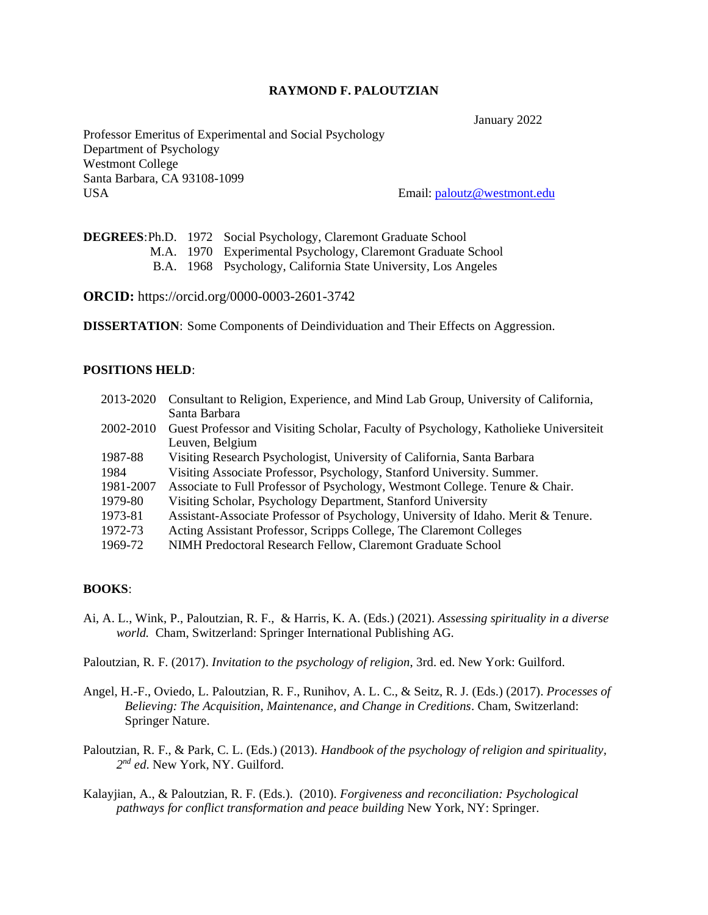#### **RAYMOND F. PALOUTZIAN**

January 2022

Professor Emeritus of Experimental and Social Psychology Department of Psychology Westmont College Santa Barbara, CA 93108-1099 USA Email: [paloutz@westmont.edu](mailto:paloutz@westmont.edu)

|  | <b>DEGREES: Ph.D.</b> 1972 Social Psychology, Claremont Graduate School |
|--|-------------------------------------------------------------------------|
|  | M.A. 1970 Experimental Psychology, Claremont Graduate School            |
|  | B.A. 1968 Psychology, California State University, Los Angeles          |

**ORCID:** https://orcid.org/0000-0003-2601-3742

**DISSERTATION**: Some Components of Deindividuation and Their Effects on Aggression.

### **POSITIONS HELD**:

| 2013-2020 | Consultant to Religion, Experience, and Mind Lab Group, University of California,    |
|-----------|--------------------------------------------------------------------------------------|
|           | Santa Barbara                                                                        |
| 2002-2010 | Guest Professor and Visiting Scholar, Faculty of Psychology, Katholieke Universiteit |
|           | Leuven, Belgium                                                                      |
| 1987-88   | Visiting Research Psychologist, University of California, Santa Barbara              |
| 1984      | Visiting Associate Professor, Psychology, Stanford University. Summer.               |
| 1981-2007 | Associate to Full Professor of Psychology, Westmont College. Tenure & Chair.         |
| 1979-80   | Visiting Scholar, Psychology Department, Stanford University                         |
| 1973-81   | Assistant-Associate Professor of Psychology, University of Idaho. Merit & Tenure.    |
| 1972-73   | Acting Assistant Professor, Scripps College, The Claremont Colleges                  |
| 1969-72   | NIMH Predoctoral Research Fellow, Claremont Graduate School                          |

#### **BOOKS**:

Ai, A. L., Wink, P., Paloutzian, R. F., & Harris, K. A. (Eds.) (2021). *Assessing spirituality in a diverse world.* Cham, Switzerland: Springer International Publishing AG.

Paloutzian, R. F. (2017). *Invitation to the psychology of religion*, 3rd. ed. New York: Guilford.

- Angel, H.-F., Oviedo, L. Paloutzian, R. F., Runihov, A. L. C., & Seitz, R. J. (Eds.) (2017). *Processes of Believing: The Acquisition, Maintenance, and Change in Creditions*. Cham, Switzerland: Springer Nature.
- Paloutzian, R. F., & Park, C. L. (Eds.) (2013). *Handbook of the psychology of religion and spirituality, 2 nd ed*. New York, NY. Guilford.
- Kalayjian, A., & Paloutzian, R. F. (Eds.). (2010). *Forgiveness and reconciliation: Psychological pathways for conflict transformation and peace building* New York, NY: Springer.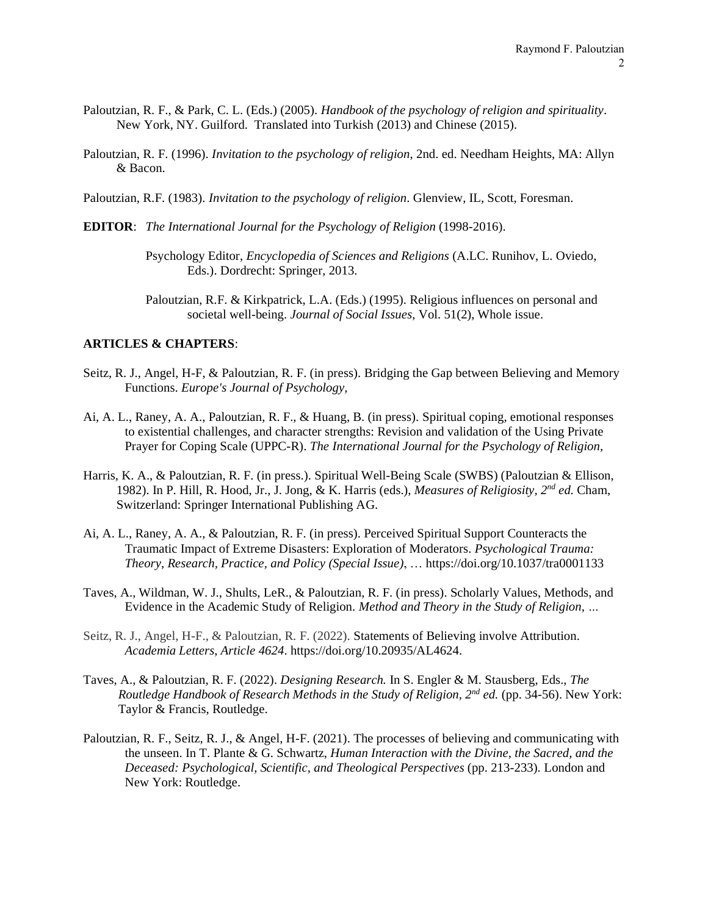- Paloutzian, R. F., & Park, C. L. (Eds.) (2005). *Handbook of the psychology of religion and spirituality*. New York, NY. Guilford. Translated into Turkish (2013) and Chinese (2015).
- Paloutzian, R. F. (1996). *Invitation to the psychology of religion*, 2nd. ed. Needham Heights, MA: Allyn & Bacon.
- Paloutzian, R.F. (1983). *Invitation to the psychology of religion*. Glenview, IL, Scott, Foresman.
- **EDITOR**: *The International Journal for the Psychology of Religion* (1998-2016).
	- Psychology Editor, *Encyclopedia of Sciences and Religions* (A.LC. Runihov, L. Oviedo, Eds.). Dordrecht: Springer, 2013.
	- Paloutzian, R.F. & Kirkpatrick, L.A. (Eds.) (1995). Religious influences on personal and societal well-being. *Journal of Social Issues*, Vol. 51(2), Whole issue.

# **ARTICLES & CHAPTERS**:

- Seitz, R. J., Angel, H-F, & Paloutzian, R. F. (in press). Bridging the Gap between Believing and Memory Functions. *Europe's Journal of Psychology,*
- Ai, A. L., Raney, A. A., Paloutzian, R. F., & Huang, B. (in press). Spiritual coping, emotional responses to existential challenges, and character strengths: Revision and validation of the Using Private Prayer for Coping Scale (UPPC-R). *The International Journal for the Psychology of Religion,*
- Harris, K. A., & Paloutzian, R. F. (in press.). Spiritual Well-Being Scale (SWBS) (Paloutzian & Ellison, 1982). In P. Hill, R. Hood, Jr., J. Jong, & K. Harris (eds.), *Measures of Religiosity, 2nd ed.* Cham, Switzerland: Springer International Publishing AG.
- Ai, A. L., Raney, A. A., & Paloutzian, R. F. (in press). Perceived Spiritual Support Counteracts the Traumatic Impact of Extreme Disasters: Exploration of Moderators. *Psychological Trauma: Theory, Research, Practice, and Policy (Special Issue)*, … https://doi.org/10.1037/tra0001133
- Taves, A., Wildman, W. J., Shults, LeR., & Paloutzian, R. F. (in press). Scholarly Values, Methods, and Evidence in the Academic Study of Religion. *Method and Theory in the Study of Religion, …*
- Seitz, R. J., Angel, H-F., & Paloutzian, R. F. (2022). Statements of Believing involve Attribution. *Academia Letters, Article 4624*. https://doi.org/10.20935/AL4624.
- Taves, A., & Paloutzian, R. F. (2022). *Designing Research.* In S. Engler & M. Stausberg, Eds., *The Routledge Handbook of Research Methods in the Study of Religion, 2nd ed.* (pp. 34-56). New York: Taylor & Francis, Routledge.
- Paloutzian, R. F., Seitz, R. J., & Angel, H-F. (2021). The processes of believing and communicating with the unseen. In T. Plante & G. Schwartz, *Human Interaction with the Divine, the Sacred, and the Deceased: Psychological, Scientific, and Theological Perspectives* (pp. 213-233)*.* London and New York: Routledge.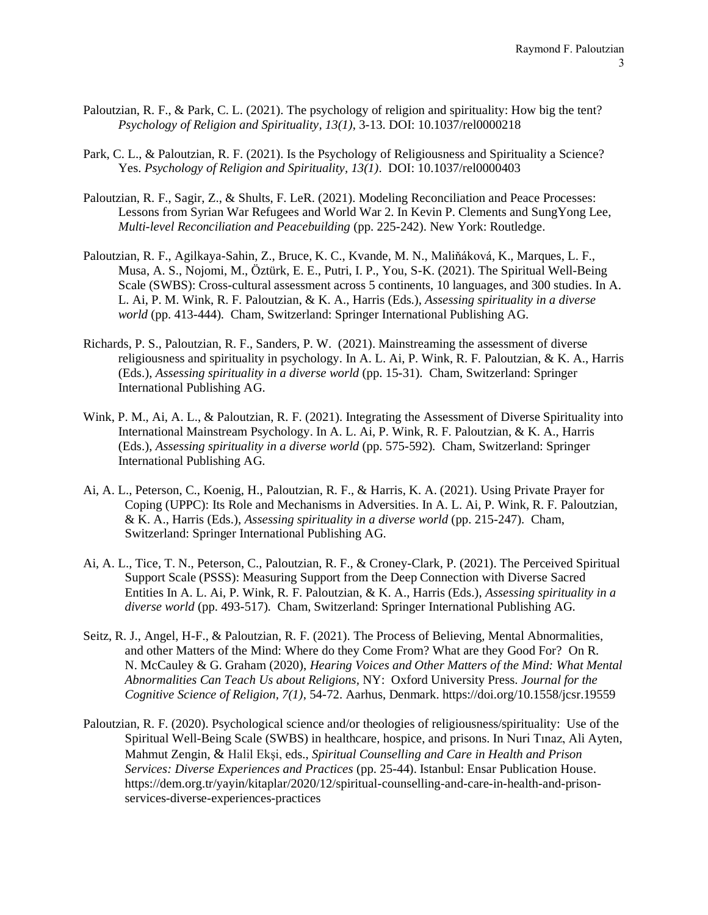- Paloutzian, R. F., & Park, C. L. (2021). The psychology of religion and spirituality: How big the tent? *Psychology of Religion and Spirituality, 13(1)*, 3-13. DOI: 10.1037/rel0000218
- Park, C. L., & Paloutzian, R. F. (2021). Is the Psychology of Religiousness and Spirituality a Science? Yes. *Psychology of Religion and Spirituality, 13(1)*. DOI: 10.1037/rel0000403
- Paloutzian, R. F., Sagir, Z., & Shults, F. LeR. (2021). Modeling Reconciliation and Peace Processes: Lessons from Syrian War Refugees and World War 2. In Kevin P. Clements and SungYong Lee, *Multi-level Reconciliation and Peacebuilding* (pp. 225-242). New York: Routledge.
- Paloutzian, R. F., Agilkaya-Sahin, Z., Bruce, K. C., Kvande, M. N., Maliňáková, K., Marques, L. F., Musa, A. S., Nojomi, M., Öztürk, E. E., Putri, I. P., You, S-K. (2021). The Spiritual Well-Being Scale (SWBS): Cross-cultural assessment across 5 continents, 10 languages, and 300 studies. In A. L. Ai, P. M. Wink, R. F. Paloutzian, & K. A., Harris (Eds.), *Assessing spirituality in a diverse world* (pp. 413-444)*.* Cham, Switzerland: Springer International Publishing AG.
- Richards, P. S., Paloutzian, R. F., Sanders, P. W. (2021). Mainstreaming the assessment of diverse religiousness and spirituality in psychology. In A. L. Ai, P. Wink, R. F. Paloutzian, & K. A., Harris (Eds.), *Assessing spirituality in a diverse world* (pp. 15-31)*.* Cham, Switzerland: Springer International Publishing AG.
- Wink, P. M., Ai, A. L., & Paloutzian, R. F. (2021). Integrating the Assessment of Diverse Spirituality into International Mainstream Psychology. In A. L. Ai, P. Wink, R. F. Paloutzian, & K. A., Harris (Eds.), *Assessing spirituality in a diverse world* (pp. 575-592)*.* Cham, Switzerland: Springer International Publishing AG.
- Ai, A. L., Peterson, C., Koenig, H., Paloutzian, R. F., & Harris, K. A. (2021). Using Private Prayer for Coping (UPPC): Its Role and Mechanisms in Adversities. In A. L. Ai, P. Wink, R. F. Paloutzian, & K. A., Harris (Eds.), *Assessing spirituality in a diverse world* (pp. 215-247)*.* Cham, Switzerland: Springer International Publishing AG.
- Ai, A. L., Tice, T. N., Peterson, C., Paloutzian, R. F., & Croney-Clark, P. (2021). The Perceived Spiritual Support Scale (PSSS): Measuring Support from the Deep Connection with Diverse Sacred Entities In A. L. Ai, P. Wink, R. F. Paloutzian, & K. A., Harris (Eds.), *Assessing spirituality in a diverse world* (pp. 493-517)*.* Cham, Switzerland: Springer International Publishing AG.
- Seitz, R. J., Angel, H-F., & Paloutzian, R. F. (2021). The Process of Believing, Mental Abnormalities, and other Matters of the Mind: Where do they Come From? What are they Good For? On R. N. McCauley & G. Graham (2020), *Hearing Voices and Other Matters of the Mind: What Mental Abnormalities Can Teach Us about Religions,* NY: Oxford University Press. *Journal for the Cognitive Science of Religion, 7(1)*, 54-72. Aarhus, Denmark. https://doi.org/10.1558/jcsr.19559
- Paloutzian, R. F. (2020). Psychological science and/or theologies of religiousness/spirituality: Use of the Spiritual Well-Being Scale (SWBS) in healthcare, hospice, and prisons. In Nuri Tınaz, Ali Ayten, Mahmut Zengin, & Halil Ekşi, eds., *Spiritual Counselling and Care in Health and Prison Services: Diverse Experiences and Practices* (pp. 25-44). Istanbul: Ensar Publication House. [https://dem.org.tr/yayin/kitaplar/2020/12/spiritual-counselling-and-care-in-health-and-prison](https://dem.org.tr/yayin/kitaplar/2020/12/spiritual-counselling-and-care-in-health-and-prison-services-diverse-experiences-practices)[services-diverse-experiences-practices](https://dem.org.tr/yayin/kitaplar/2020/12/spiritual-counselling-and-care-in-health-and-prison-services-diverse-experiences-practices)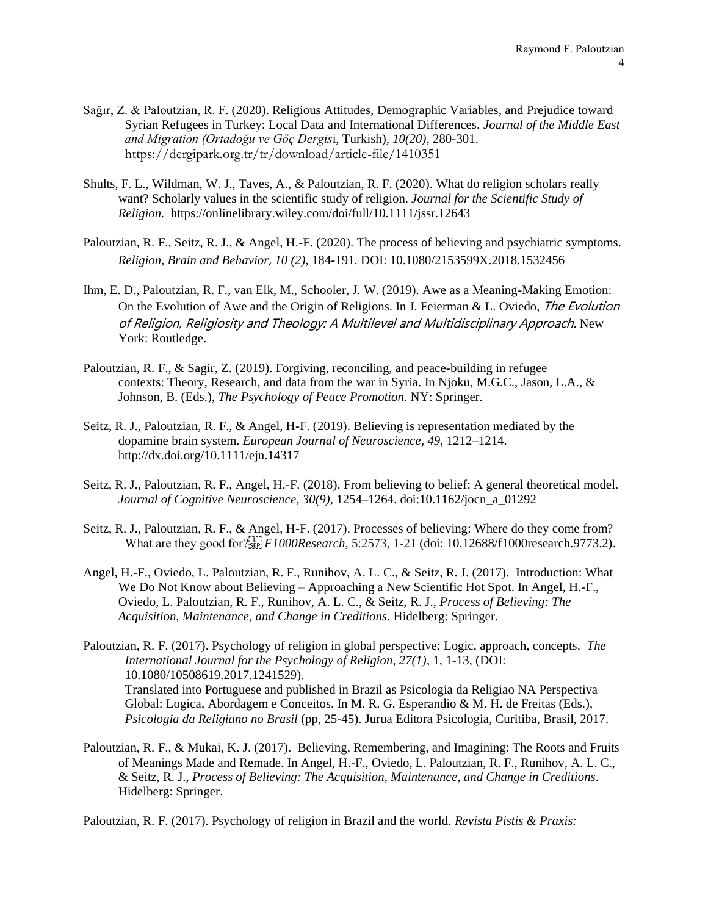- Sağır, Z. & Paloutzian, R. F. (2020). Religious Attitudes, Demographic Variables, and Prejudice toward Syrian Refugees in Turkey: Local Data and International Differences. *Journal of the Middle East and Migration (Ortadoğu ve Göç Dergis*i, Turkish)*, 10(20)*, 280-301. <https://dergipark.org.tr/tr/download/article-file/1410351>
- Shults, F. L., Wildman, W. J., Taves, A., & Paloutzian, R. F. (2020). What do religion scholars really want? Scholarly values in the scientific study of religion. *Journal for the Scientific Study of Religion.* <https://onlinelibrary.wiley.com/doi/full/10.1111/jssr.12643>
- Paloutzian, R. F., Seitz, R. J., & Angel, H.-F. (2020). The process of believing and psychiatric symptoms. *Religion, Brain and Behavior*, *10 (2)*, 184-191. DOI: 10.1080/2153599X.2018.1532456
- Ihm, E. D., Paloutzian, R. F., van Elk, M., Schooler, J. W. (2019). Awe as a Meaning-Making Emotion: On the Evolution of Awe and the Origin of Religions. In J. Feierman & L. Oviedo, *The Evolution* of Religion, Religiosity and Theology: A Multilevel and Multidisciplinary Approach. New York: Routledge.
- Paloutzian, R. F., & Sagir, Z. (2019). Forgiving, reconciling, and peace-building in refugee contexts: Theory, Research, and data from the war in Syria. In Njoku, M.G.C., Jason, L.A., & Johnson, B. (Eds.), *The Psychology of Peace Promotion.* NY: Springer.
- Seitz, R. J., Paloutzian, R. F., & Angel, H-F. (2019). Believing is representation mediated by the dopamine brain system. *European Journal of Neuroscience, 49*, 1212–1214. <http://dx.doi.org/10.1111/ejn.14317>
- Seitz, R. J., Paloutzian, R. F., Angel, H.-F. (2018). From believing to belief: A general theoretical model. *Journal of Cognitive Neuroscience, 30(9)*, 1254–1264. doi:10.1162/jocn\_a\_01292
- Seitz, R. J., Paloutzian, R. F., & Angel, H-F. (2017). Processes of believing: Where do they come from? What are they good for?
*F1000Research*, 5:2573, 1-21 (doi: 10.12688/f1000research.9773.2).
- Angel, H.-F., Oviedo, L. Paloutzian, R. F., Runihov, A. L. C., & Seitz, R. J. (2017). Introduction: What We Do Not Know about Believing – Approaching a New Scientific Hot Spot. In Angel, H.-F., Oviedo, L. Paloutzian, R. F., Runihov, A. L. C., & Seitz, R. J., *Process of Believing: The Acquisition, Maintenance, and Change in Creditions*. Hidelberg: Springer.
- Paloutzian, R. F. (2017). Psychology of religion in global perspective: Logic, approach, concepts. *The International Journal for the Psychology of Religion, 27(1)*, 1, 1-13, (DOI: 10.1080/10508619.2017.1241529). Translated into Portuguese and published in Brazil as Psicologia da Religiao NA Perspectiva Global: Logica, Abordagem e Conceitos. In M. R. G. Esperandio & M. H. de Freitas (Eds.), *Psicologia da Religiano no Brasil* (pp, 25-45). Jurua Editora Psicologia, Curitiba, Brasil, 2017.
- Paloutzian, R. F., & Mukai, K. J. (2017). Believing, Remembering, and Imagining: The Roots and Fruits of Meanings Made and Remade. In Angel, H.-F., Oviedo, L. Paloutzian, R. F., Runihov, A. L. C., & Seitz, R. J., *Process of Believing: The Acquisition, Maintenance, and Change in Creditions*. Hidelberg: Springer.

Paloutzian, R. F. (2017). Psychology of religion in Brazil and the world. *Revista Pistis & Praxis:*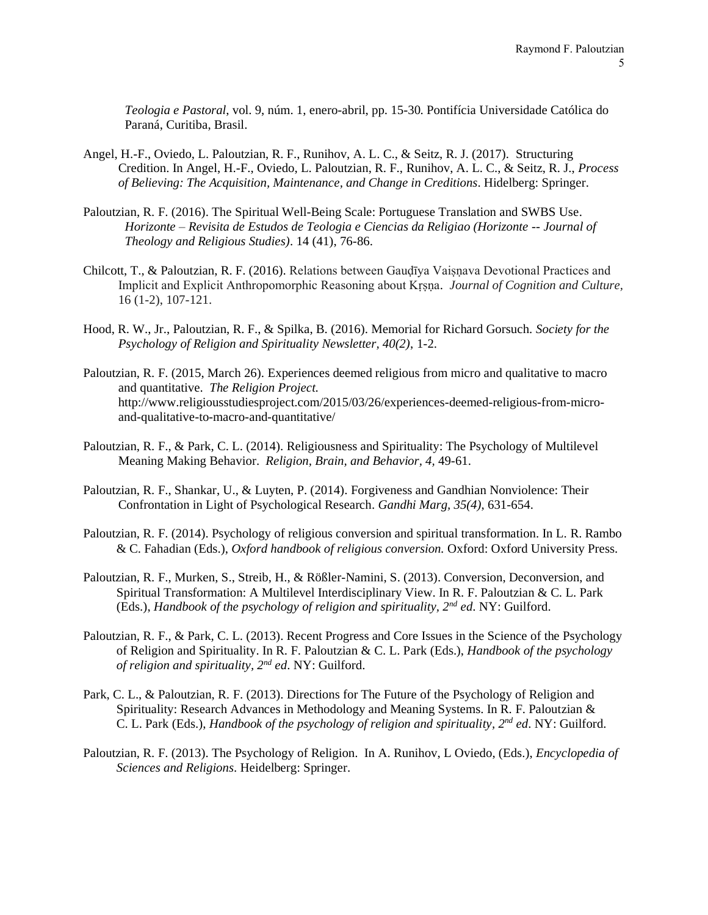*Teologia e Pastoral*, vol. 9, núm. 1, enero-abril, pp. 15-30. Pontifícia Universidade Católica do Paraná, Curitiba, Brasil.

- Angel, H.-F., Oviedo, L. Paloutzian, R. F., Runihov, A. L. C., & Seitz, R. J. (2017). Structuring Credition. In Angel, H.-F., Oviedo, L. Paloutzian, R. F., Runihov, A. L. C., & Seitz, R. J., *Process of Believing: The Acquisition, Maintenance, and Change in Creditions*. Hidelberg: Springer.
- Paloutzian, R. F. (2016). The Spiritual Well-Being Scale: Portuguese Translation and SWBS Use. *Horizonte – Revisita de Estudos de Teologia e Ciencias da Religiao (Horizonte -- Journal of Theology and Religious Studies)*. 14 (41), 76-86.
- Chilcott, T., & Paloutzian, R. F. (2016). Relations between Gauḍīya Vaiṣṇava Devotional Practices and Implicit and Explicit Anthropomorphic Reasoning about Kṛṣṇa. *Journal of Cognition and Culture,*  16 (1-2), 107-121.
- Hood, R. W., Jr., Paloutzian, R. F., & Spilka, B. (2016). Memorial for Richard Gorsuch. *Society for the Psychology of Religion and Spirituality Newsletter, 40(2)*, 1-2.
- Paloutzian, R. F. (2015, March 26). Experiences deemed religious from micro and qualitative to macro and quantitative. *The Religion Project.*  [http://www.religiousstudiesproject.com/2015/03/26/experiences-deemed-religious-from-micro](http://www.religiousstudiesproject.com/2015/03/26/experiences-deemed-religious-from-micro-and-qualitative-to-macro-and-quantitative/)[and-qualitative-to-macro-and-quantitative/](http://www.religiousstudiesproject.com/2015/03/26/experiences-deemed-religious-from-micro-and-qualitative-to-macro-and-quantitative/)
- Paloutzian, R. F., & Park, C. L. (2014). Religiousness and Spirituality: The Psychology of Multilevel Meaning Making Behavior. *Religion, Brain, and Behavior, 4,* 49-61.
- Paloutzian, R. F., Shankar, U., & Luyten, P. (2014). Forgiveness and Gandhian Nonviolence: Their Confrontation in Light of Psychological Research. *Gandhi Marg, 35(4)*, 631-654.
- Paloutzian, R. F. (2014). Psychology of religious conversion and spiritual transformation. In L. R. Rambo & C. Fahadian (Eds.), *Oxford handbook of religious conversion.* Oxford: Oxford University Press.
- Paloutzian, R. F., Murken, S., Streib, H., & Rößler-Namini, S. (2013). Conversion, Deconversion, and Spiritual Transformation: A Multilevel Interdisciplinary View. In R. F. Paloutzian & C. L. Park (Eds.), *Handbook of the psychology of religion and spirituality, 2nd ed*. NY: Guilford.
- Paloutzian, R. F., & Park, C. L. (2013). Recent Progress and Core Issues in the Science of the Psychology of Religion and Spirituality. In R. F. Paloutzian & C. L. Park (Eds.), *Handbook of the psychology of religion and spirituality, 2nd ed*. NY: Guilford.
- Park, C. L., & Paloutzian, R. F. (2013). Directions for The Future of the Psychology of Religion and Spirituality: Research Advances in Methodology and Meaning Systems. In R. F. Paloutzian & C. L. Park (Eds.), *Handbook of the psychology of religion and spirituality, 2nd ed*. NY: Guilford.
- Paloutzian, R. F. (2013). The Psychology of Religion. In A. Runihov, L Oviedo, (Eds.), *Encyclopedia of Sciences and Religions*. Heidelberg: Springer.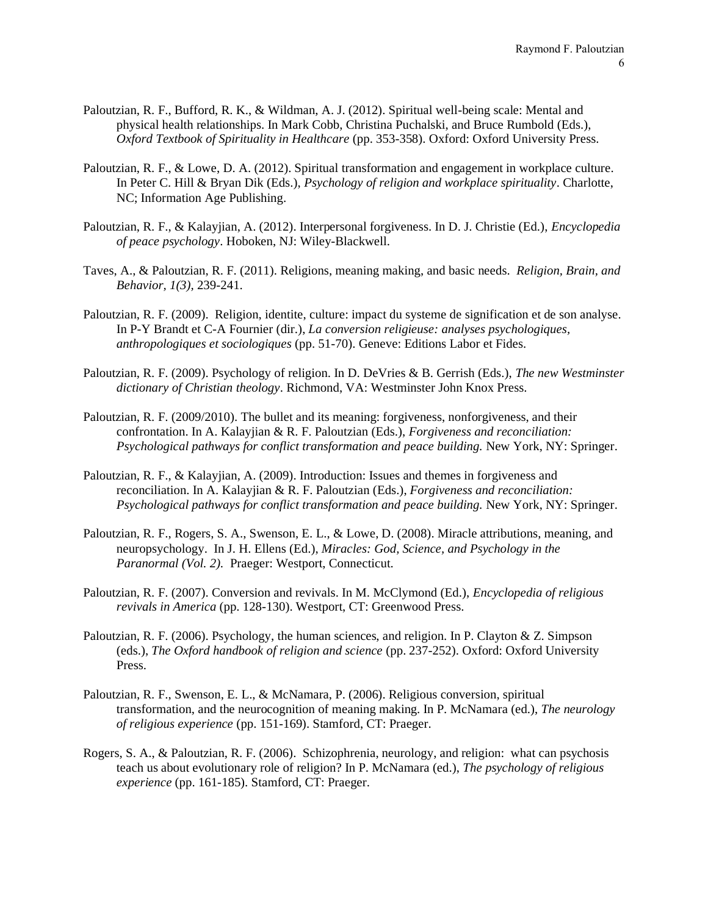- Paloutzian, R. F., Bufford, R. K., & Wildman, A. J. (2012). Spiritual well-being scale: Mental and physical health relationships. In Mark Cobb, Christina Puchalski, and Bruce Rumbold (Eds.), *Oxford Textbook of Spirituality in Healthcare* (pp. 353-358). Oxford: Oxford University Press.
- Paloutzian, R. F., & Lowe, D. A. (2012). Spiritual transformation and engagement in workplace culture. In Peter C. Hill & Bryan Dik (Eds.), *Psychology of religion and workplace spirituality*. Charlotte, NC; Information Age Publishing.
- Paloutzian, R. F., & Kalayjian, A. (2012). Interpersonal forgiveness. In D. J. Christie (Ed.), *Encyclopedia of peace psychology*. Hoboken, NJ: Wiley-Blackwell.
- Taves, A., & Paloutzian, R. F. (2011). Religions, meaning making, and basic needs. *Religion, Brain, and Behavior, 1(3),* 239-241.
- Paloutzian, R. F. (2009). Religion, identite, culture: impact du systeme de signification et de son analyse*.* In P-Y Brandt et C-A Fournier (dir.), *La conversion religieuse: analyses psychologiques, anthropologiques et sociologiques* (pp. 51-70). Geneve: Editions Labor et Fides.
- Paloutzian, R. F. (2009). Psychology of religion. In D. DeVries & B. Gerrish (Eds.), *The new Westminster dictionary of Christian theology*. Richmond, VA: Westminster John Knox Press.
- Paloutzian, R. F. (2009/2010). The bullet and its meaning: forgiveness, nonforgiveness, and their confrontation. In A. Kalayjian & R. F. Paloutzian (Eds.), *Forgiveness and reconciliation: Psychological pathways for conflict transformation and peace building.* New York, NY: Springer.
- Paloutzian, R. F., & Kalayjian, A. (2009). Introduction: Issues and themes in forgiveness and reconciliation. In A. Kalayjian & R. F. Paloutzian (Eds.), *Forgiveness and reconciliation: Psychological pathways for conflict transformation and peace building.* New York, NY: Springer.
- Paloutzian, R. F., Rogers, S. A., Swenson, E. L., & Lowe, D. (2008). Miracle attributions, meaning, and neuropsychology. In J. H. Ellens (Ed.), *Miracles: God, Science, and Psychology in the Paranormal (Vol. 2).* Praeger: Westport, Connecticut.
- Paloutzian, R. F. (2007). Conversion and revivals. In M. McClymond (Ed.), *Encyclopedia of religious revivals in America* (pp. 128-130). Westport, CT: Greenwood Press.
- Paloutzian, R. F. (2006). Psychology, the human sciences, and religion. In P. Clayton & Z. Simpson (eds.), *The Oxford handbook of religion and science* (pp. 237-252). Oxford: Oxford University Press.
- Paloutzian, R. F., Swenson, E. L., & McNamara, P. (2006). Religious conversion, spiritual transformation, and the neurocognition of meaning making. In P. McNamara (ed.), *The neurology of religious experience* (pp. 151-169). Stamford, CT: Praeger.
- Rogers, S. A., & Paloutzian, R. F. (2006). Schizophrenia, neurology, and religion: what can psychosis teach us about evolutionary role of religion? In P. McNamara (ed.), *The psychology of religious experience* (pp. 161-185). Stamford, CT: Praeger.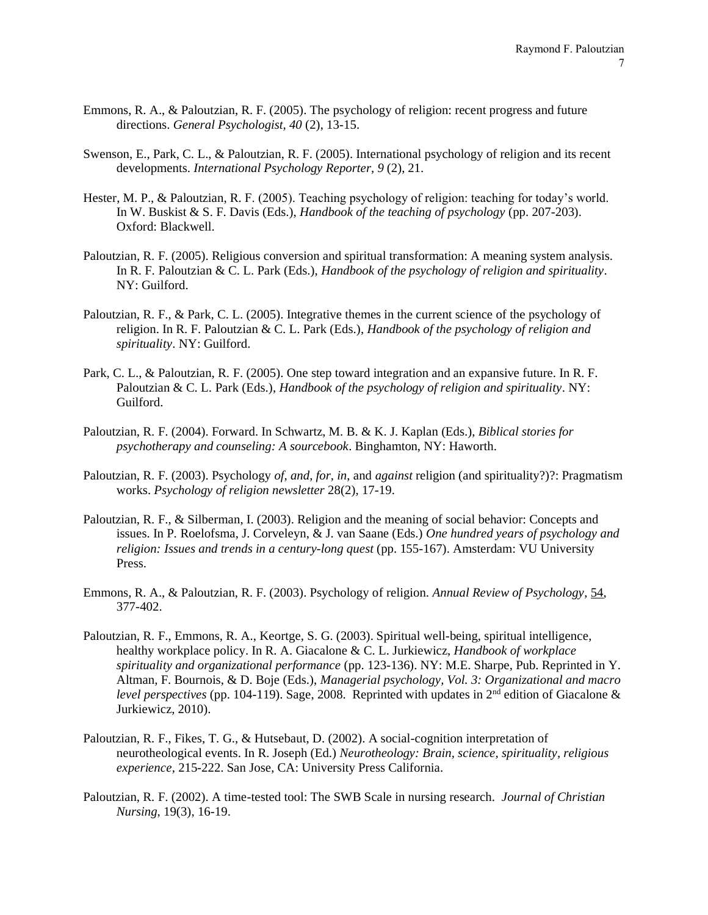- Emmons, R. A., & Paloutzian, R. F. (2005). The psychology of religion: recent progress and future directions. *General Psychologist, 40* (2), 13-15.
- Swenson, E., Park, C. L., & Paloutzian, R. F. (2005). International psychology of religion and its recent developments. *International Psychology Reporter, 9* (2), 21.
- Hester, M. P., & Paloutzian, R. F. (2005). Teaching psychology of religion: teaching for today's world. In W. Buskist & S. F. Davis (Eds.), *Handbook of the teaching of psychology* (pp. 207-203). Oxford: Blackwell.
- Paloutzian, R. F. (2005). Religious conversion and spiritual transformation: A meaning system analysis. In R. F. Paloutzian & C. L. Park (Eds.), *Handbook of the psychology of religion and spirituality*. NY: Guilford.
- Paloutzian, R. F., & Park, C. L. (2005). Integrative themes in the current science of the psychology of religion. In R. F. Paloutzian & C. L. Park (Eds.), *Handbook of the psychology of religion and spirituality*. NY: Guilford.
- Park, C. L., & Paloutzian, R. F. (2005). One step toward integration and an expansive future. In R. F. Paloutzian & C. L. Park (Eds.), *Handbook of the psychology of religion and spirituality*. NY: Guilford.
- Paloutzian, R. F. (2004). Forward. In Schwartz, M. B. & K. J. Kaplan (Eds.), *Biblical stories for psychotherapy and counseling: A sourcebook*. Binghamton, NY: Haworth.
- Paloutzian, R. F. (2003). Psychology *of, and, for, in*, and *against* religion (and spirituality?)?: Pragmatism works. *Psychology of religion newsletter* 28(2), 17-19.
- Paloutzian, R. F., & Silberman, I. (2003). Religion and the meaning of social behavior: Concepts and issues. In P. Roelofsma, J. Corveleyn, & J. van Saane (Eds.) *One hundred years of psychology and religion: Issues and trends in a century-long quest* (pp. 155-167). Amsterdam: VU University Press.
- Emmons, R. A., & Paloutzian, R. F. (2003). Psychology of religion. *Annual Review of Psychology*, 54, 377-402.
- Paloutzian, R. F., Emmons, R. A., Keortge, S. G. (2003). Spiritual well-being, spiritual intelligence, healthy workplace policy. In R. A. Giacalone & C. L. Jurkiewicz, *Handbook of workplace spirituality and organizational performance* (pp. 123-136). NY: M.E. Sharpe, Pub. Reprinted in Y. Altman, F. Bournois, & D. Boje (Eds.), *Managerial psychology, Vol. 3: Organizational and macro level perspectives* (pp. 104-119). Sage, 2008. Reprinted with updates in 2<sup>nd</sup> edition of Giacalone & Jurkiewicz, 2010).
- Paloutzian, R. F., Fikes, T. G., & Hutsebaut, D. (2002). A social-cognition interpretation of neurotheological events. In R. Joseph (Ed.) *Neurotheology: Brain, science, spirituality, religious experience*, 215-222. San Jose, CA: University Press California.
- Paloutzian, R. F. (2002). A time-tested tool: The SWB Scale in nursing research. *Journal of Christian Nursing*, 19(3), 16-19.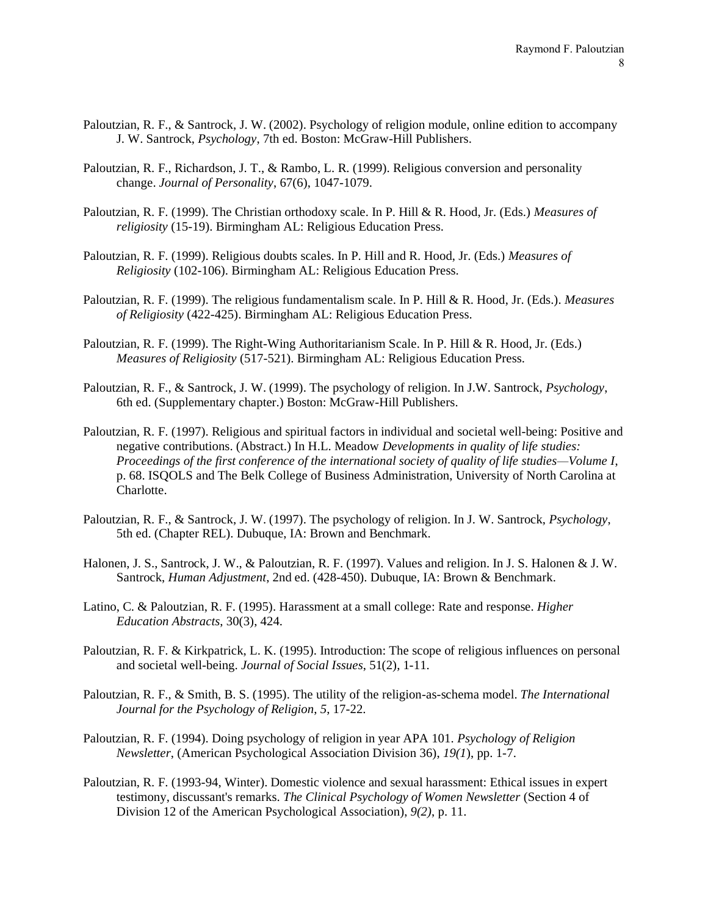- Paloutzian, R. F., & Santrock, J. W. (2002). Psychology of religion module, online edition to accompany J. W. Santrock, *Psychology*, 7th ed. Boston: McGraw-Hill Publishers.
- Paloutzian, R. F., Richardson, J. T., & Rambo, L. R. (1999). Religious conversion and personality change. *Journal of Personality*, 67(6), 1047-1079.
- Paloutzian, R. F. (1999). The Christian orthodoxy scale. In P. Hill & R. Hood, Jr. (Eds.) *Measures of religiosity* (15-19). Birmingham AL: Religious Education Press.
- Paloutzian, R. F. (1999). Religious doubts scales. In P. Hill and R. Hood, Jr. (Eds.) *Measures of Religiosity* (102-106). Birmingham AL: Religious Education Press.
- Paloutzian, R. F. (1999). The religious fundamentalism scale. In P. Hill & R. Hood, Jr. (Eds.). *Measures of Religiosity* (422-425). Birmingham AL: Religious Education Press.
- Paloutzian, R. F. (1999). The Right-Wing Authoritarianism Scale. In P. Hill & R. Hood, Jr. (Eds.) *Measures of Religiosity* (517-521). Birmingham AL: Religious Education Press.
- Paloutzian, R. F., & Santrock, J. W. (1999). The psychology of religion. In J.W. Santrock, *Psychology*, 6th ed. (Supplementary chapter.) Boston: McGraw-Hill Publishers.
- Paloutzian, R. F. (1997). Religious and spiritual factors in individual and societal well-being: Positive and negative contributions. (Abstract.) In H.L. Meadow *Developments in quality of life studies: Proceedings of the first conference of the international society of quality of life studies—Volume I*, p. 68. ISQOLS and The Belk College of Business Administration, University of North Carolina at Charlotte.
- Paloutzian, R. F., & Santrock, J. W. (1997). The psychology of religion. In J. W. Santrock, *Psychology*, 5th ed. (Chapter REL). Dubuque, IA: Brown and Benchmark.
- Halonen, J. S., Santrock, J. W., & Paloutzian, R. F. (1997). Values and religion. In J. S. Halonen & J. W. Santrock, *Human Adjustment*, 2nd ed. (428-450). Dubuque, IA: Brown & Benchmark.
- Latino, C. & Paloutzian, R. F. (1995). Harassment at a small college: Rate and response. *Higher Education Abstracts*, 30(3), 424.
- Paloutzian, R. F. & Kirkpatrick, L. K. (1995). Introduction: The scope of religious influences on personal and societal well-being. *Journal of Social Issues*, 51(2), 1-11.
- Paloutzian, R. F., & Smith, B. S. (1995). The utility of the religion-as-schema model. *The International Journal for the Psychology of Religion*, *5*, 17-22.
- Paloutzian, R. F. (1994). Doing psychology of religion in year APA 101. *Psychology of Religion Newsletter*, (American Psychological Association Division 36), *19(1*), pp. 1-7.
- Paloutzian, R. F. (1993-94, Winter). Domestic violence and sexual harassment: Ethical issues in expert testimony, discussant's remarks. *The Clinical Psychology of Women Newsletter* (Section 4 of Division 12 of the American Psychological Association), *9(2)*, p. 11.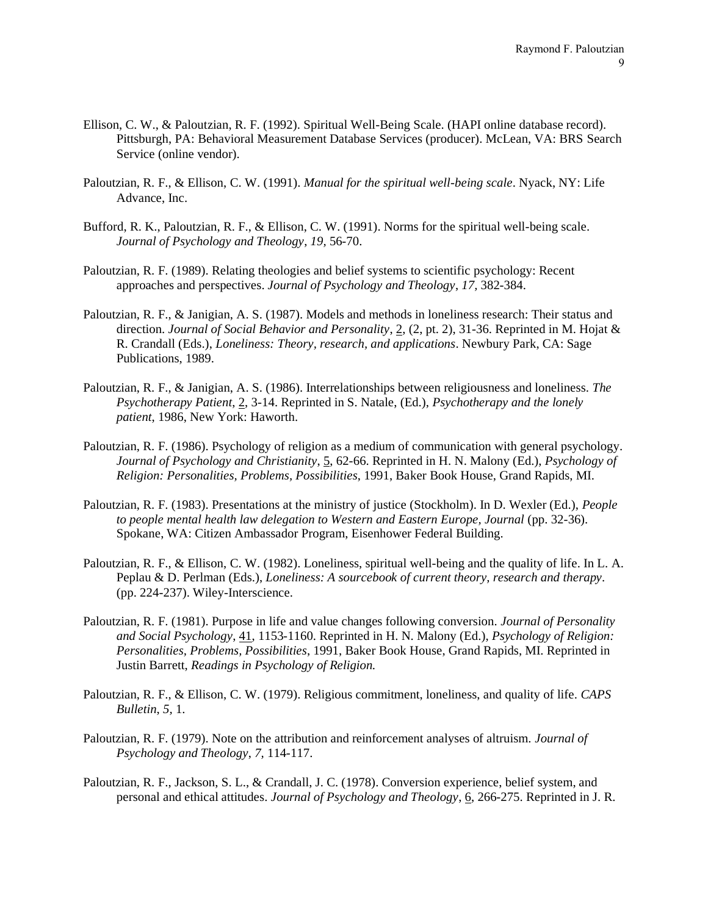- Ellison, C. W., & Paloutzian, R. F. (1992). Spiritual Well-Being Scale. (HAPI online database record). Pittsburgh, PA: Behavioral Measurement Database Services (producer). McLean, VA: BRS Search Service (online vendor).
- Paloutzian, R. F., & Ellison, C. W. (1991). *Manual for the spiritual well-being scale*. Nyack, NY: Life Advance, Inc.
- Bufford, R. K., Paloutzian, R. F., & Ellison, C. W. (1991). Norms for the spiritual well-being scale. *Journal of Psychology and Theology*, *19,* 56-70.
- Paloutzian, R. F. (1989). Relating theologies and belief systems to scientific psychology: Recent approaches and perspectives. *Journal of Psychology and Theology*, *17,* 382-384.
- Paloutzian, R. F., & Janigian, A. S. (1987). Models and methods in loneliness research: Their status and direction. *Journal of Social Behavior and Personality*, 2, (2, pt. 2), 31-36. Reprinted in M. Hojat & R. Crandall (Eds.), *Loneliness: Theory, research, and applications*. Newbury Park, CA: Sage Publications, 1989.
- Paloutzian, R. F., & Janigian, A. S. (1986). Interrelationships between religiousness and loneliness. *The Psychotherapy Patient*, 2, 3-14. Reprinted in S. Natale, (Ed.), *Psychotherapy and the lonely patient*, 1986, New York: Haworth.
- Paloutzian, R. F. (1986). Psychology of religion as a medium of communication with general psychology. *Journal of Psychology and Christianity*, 5, 62-66. Reprinted in H. N. Malony (Ed.), *Psychology of Religion: Personalities, Problems, Possibilities*, 1991, Baker Book House, Grand Rapids, MI.
- Paloutzian, R. F. (1983). Presentations at the ministry of justice (Stockholm). In D. Wexler (Ed.), *People to people mental health law delegation to Western and Eastern Europe, Journal* (pp. 32-36). Spokane, WA: Citizen Ambassador Program, Eisenhower Federal Building.
- Paloutzian, R. F., & Ellison, C. W. (1982). Loneliness, spiritual well-being and the quality of life. In L. A. Peplau & D. Perlman (Eds.), *Loneliness: A sourcebook of current theory, research and therapy*. (pp. 224-237). Wiley-Interscience.
- Paloutzian, R. F. (1981). Purpose in life and value changes following conversion. *Journal of Personality and Social Psychology*, 41, 1153-1160. Reprinted in H. N. Malony (Ed.), *Psychology of Religion: Personalities, Problems, Possibilities*, 1991, Baker Book House, Grand Rapids, MI. Reprinted in Justin Barrett, *Readings in Psychology of Religion.*
- Paloutzian, R. F., & Ellison, C. W. (1979). Religious commitment, loneliness, and quality of life. *CAPS Bulletin*, *5,* 1.
- Paloutzian, R. F. (1979). Note on the attribution and reinforcement analyses of altruism. *Journal of Psychology and Theology*, *7,* 114-117.
- Paloutzian, R. F., Jackson, S. L., & Crandall, J. C. (1978). Conversion experience, belief system, and personal and ethical attitudes. *Journal of Psychology and Theology*, 6, 266-275. Reprinted in J. R.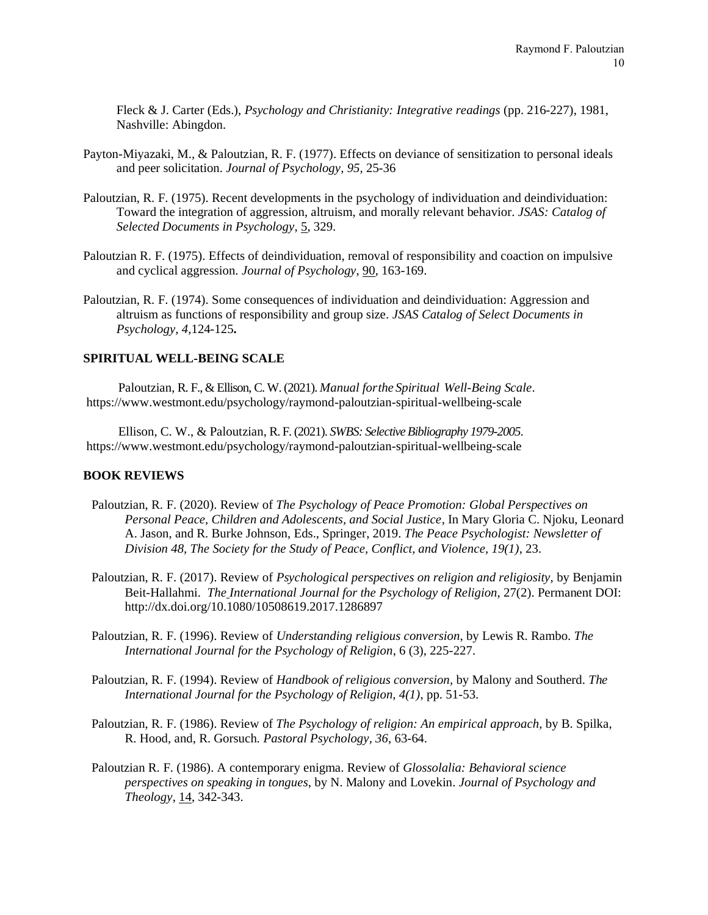Fleck & J. Carter (Eds.), *Psychology and Christianity: Integrative readings* (pp. 216-227), 1981, Nashville: Abingdon.

- Payton-Miyazaki, M., & Paloutzian, R. F. (1977). Effects on deviance of sensitization to personal ideals and peer solicitation. *Journal of Psychology, 95,* 25-36
- Paloutzian, R. F. (1975). Recent developments in the psychology of individuation and deindividuation: Toward the integration of aggression, altruism, and morally relevant behavior. *JSAS: Catalog of Selected Documents in Psychology*, 5, 329.
- Paloutzian R. F. (1975). Effects of deindividuation, removal of responsibility and coaction on impulsive and cyclical aggression. *Journal of Psychology*, 90, 163-169.
- Paloutzian, R. F. (1974). Some consequences of individuation and deindividuation: Aggression and altruism as functions of responsibility and group size. *JSAS Catalog of Select Documents in Psychology, 4,*124-125**.**

### **SPIRITUAL WELL-BEING SCALE**

Paloutzian, R. F., & Ellison, C. W. (2021). *Manual for the Spiritual Well-Being Scale*. <https://www.westmont.edu/psychology/raymond-paloutzian-spiritual-wellbeing-scale>

Ellison, C. W., & Paloutzian, R. F. (2021). *SWBS: Selective Bibliography 1979-2005*. <https://www.westmont.edu/psychology/raymond-paloutzian-spiritual-wellbeing-scale>

#### **BOOK REVIEWS**

- Paloutzian, R. F. (2020). Review of *The Psychology of Peace Promotion: Global Perspectives on Personal Peace, Children and Adolescents, and Social Justice*, In Mary Gloria C. Njoku, Leonard A. Jason, and R. Burke Johnson, Eds., Springer, 2019. *The Peace Psychologist: Newsletter of Division 48, The Society for the Study of Peace, Conflict, and Violence, 19(1)*, 23.
- Paloutzian, R. F. (2017). Review of *Psychological perspectives on religion and religiosity,* by Benjamin Beit-Hallahmi. *The International Journal for the Psychology of Religion*, 27(2). Permanent DOI: <http://dx.doi.org/10.1080/10508619.2017.1286897>
- Paloutzian, R. F. (1996). Review of *Understanding religious conversion*, by Lewis R. Rambo. *The International Journal for the Psychology of Religion*, 6 (3), 225-227.
- Paloutzian, R. F. (1994). Review of *Handbook of religious conversion,* by Malony and Southerd. *The International Journal for the Psychology of Religion, 4(1)*, pp. 51-53.
- Paloutzian, R. F. (1986). Review of *The Psychology of religion: An empirical approach,* by B. Spilka, R. Hood, and, R. Gorsuch*. Pastoral Psychology, 36*, 63-64.
- Paloutzian R. F. (1986). A contemporary enigma. Review of *Glossolalia: Behavioral science perspectives on speaking in tongues*, by N. Malony and Lovekin. *Journal of Psychology and Theology*, 14, 342-343.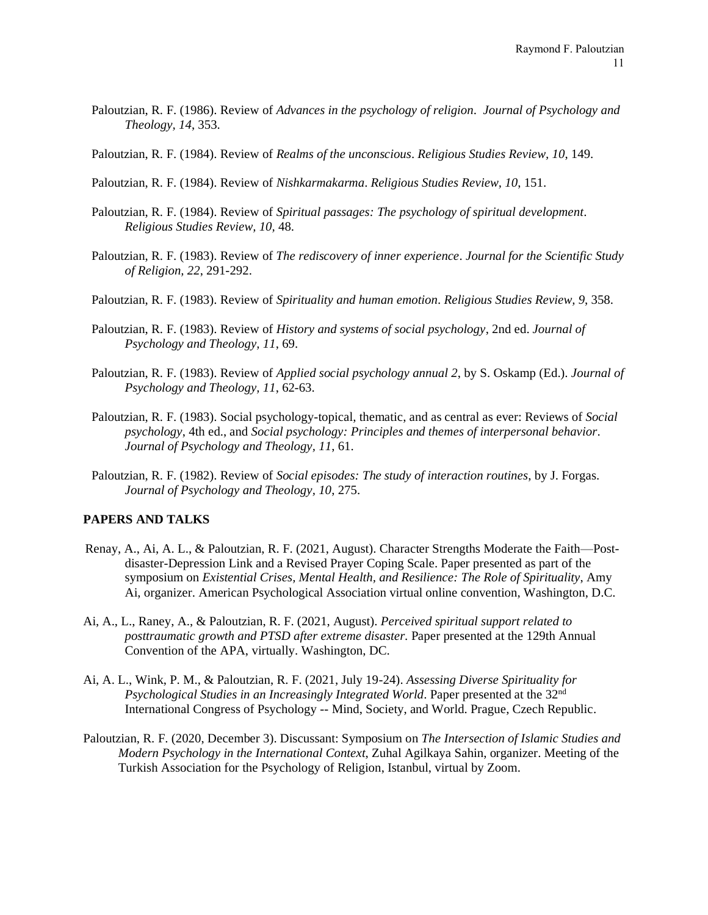- Paloutzian, R. F. (1986). Review of *Advances in the psychology of religion*. *Journal of Psychology and Theology, 14*, 353.
- Paloutzian, R. F. (1984). Review of *Realms of the unconscious*. *Religious Studies Review, 10*, 149.
- Paloutzian, R. F. (1984). Review of *Nishkarmakarma*. *Religious Studies Review, 10*, 151.
- Paloutzian, R. F. (1984). Review of *Spiritual passages: The psychology of spiritual development*. *Religious Studies Review, 10,* 48.
- Paloutzian, R. F. (1983). Review of *The rediscovery of inner experience*. *Journal for the Scientific Study of Religion, 22*, 291-292.
- Paloutzian, R. F. (1983). Review of *Spirituality and human emotion*. *Religious Studies Review, 9*, 358.
- Paloutzian, R. F. (1983). Review of *History and systems of social psychology*, 2nd ed. *Journal of Psychology and Theology, 11*, 69.
- Paloutzian, R. F. (1983). Review of *Applied social psychology annual 2*, by S. Oskamp (Ed.). *Journal of Psychology and Theology, 11*, 62-63.
- Paloutzian, R. F. (1983). Social psychology-topical, thematic, and as central as ever: Reviews of *Social psychology*, 4th ed., and *Social psychology: Principles and themes of interpersonal behavior*. *Journal of Psychology and Theology, 11*, 61.
- Paloutzian, R. F. (1982). Review of *Social episodes: The study of interaction routines*, by J. Forgas. *Journal of Psychology and Theology, 10*, 275.

# **PAPERS AND TALKS**

- Renay, A., Ai, A. L., & Paloutzian, R. F. (2021, August). Character Strengths Moderate the Faith—Postdisaster-Depression Link and a Revised Prayer Coping Scale. Paper presented as part of the symposium on *Existential Crises, Mental Health, and Resilience: The Role of Spirituality*, Amy Ai, organizer. American Psychological Association virtual online convention, Washington, D.C.
- Ai, A., L., Raney, A., & Paloutzian, R. F. (2021, August). *Perceived spiritual support related to posttraumatic growth and PTSD after extreme disaster.* Paper presented at the 129th Annual Convention of the APA, virtually. Washington, DC.
- Ai, A. L., Wink, P. M., & Paloutzian, R. F. (2021, July 19-24). *Assessing Diverse Spirituality for Psychological Studies in an Increasingly Integrated World*. Paper presented at the 32nd International Congress of Psychology -- Mind, Society, and World. Prague, Czech Republic.
- Paloutzian, R. F. (2020, December 3). Discussant: Symposium on *The Intersection of Islamic Studies and Modern Psychology in the International Context*, Zuhal Agilkaya Sahin, organizer. Meeting of the Turkish Association for the Psychology of Religion, Istanbul, virtual by Zoom.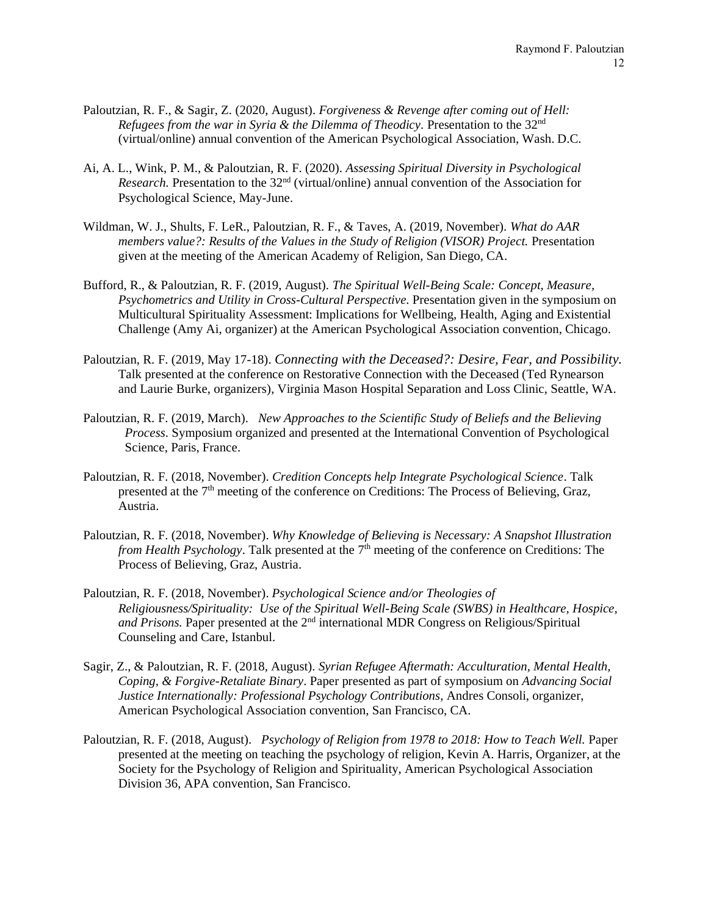- Paloutzian, R. F., & Sagir, Z. (2020, August). *Forgiveness & Revenge after coming out of Hell: Refugees from the war in Syria & the Dilemma of Theodicy.* Presentation to the 32nd (virtual/online) annual convention of the American Psychological Association, Wash. D.C.
- Ai, A. L., Wink, P. M., & Paloutzian, R. F. (2020). *Assessing Spiritual Diversity in Psychological Research.* Presentation to the 32<sup>nd</sup> (virtual/online) annual convention of the Association for Psychological Science, May-June.
- Wildman, W. J., Shults, F. LeR., Paloutzian, R. F., & Taves, A. (2019, November). *What do AAR members value?: Results of the Values in the Study of Religion (VISOR) Project.* Presentation given at the meeting of the American Academy of Religion, San Diego, CA.
- Bufford, R., & Paloutzian, R. F. (2019, August). *The Spiritual Well-Being Scale: Concept, Measure, Psychometrics and Utility in Cross-Cultural Perspective.* Presentation given in the symposium on Multicultural Spirituality Assessment: Implications for Wellbeing, Health, Aging and Existential Challenge (Amy Ai, organizer) at the American Psychological Association convention, Chicago.
- Paloutzian, R. F. (2019, May 17-18). *Connecting with the Deceased?: Desire, Fear, and Possibility.* Talk presented at the conference on Restorative Connection with the Deceased (Ted Rynearson and Laurie Burke, organizers), Virginia Mason Hospital Separation and Loss Clinic, Seattle, WA.
- Paloutzian, R. F. (2019, March). *New Approaches to the Scientific Study of Beliefs and the Believing Process*. Symposium organized and presented at the International Convention of Psychological Science, Paris, France.
- Paloutzian, R. F. (2018, November). *Credition Concepts help Integrate Psychological Science*. Talk presented at the 7<sup>th</sup> meeting of the conference on Creditions: The Process of Believing, Graz, Austria.
- Paloutzian, R. F. (2018, November). *Why Knowledge of Believing is Necessary: A Snapshot Illustration*  from Health Psychology. Talk presented at the 7<sup>th</sup> meeting of the conference on Creditions: The Process of Believing, Graz, Austria.
- Paloutzian, R. F. (2018, November). *Psychological Science and/or Theologies of Religiousness/Spirituality: Use of the Spiritual Well-Being Scale (SWBS) in Healthcare, Hospice,*  and Prisons. Paper presented at the 2<sup>nd</sup> international MDR Congress on Religious/Spiritual Counseling and Care, Istanbul.
- Sagir, Z., & Paloutzian, R. F. (2018, August). *Syrian Refugee Aftermath: Acculturation, Mental Health, Coping, & Forgive-Retaliate Binary*. Paper presented as part of symposium on *Advancing Social Justice Internationally: Professional Psychology Contributions*, Andres Consoli, organizer, American Psychological Association convention, San Francisco, CA.
- Paloutzian, R. F. (2018, August). *Psychology of Religion from 1978 to 2018: How to Teach Well.* Paper presented at the meeting on teaching the psychology of religion, Kevin A. Harris, Organizer, at the Society for the Psychology of Religion and Spirituality, American Psychological Association Division 36, APA convention, San Francisco.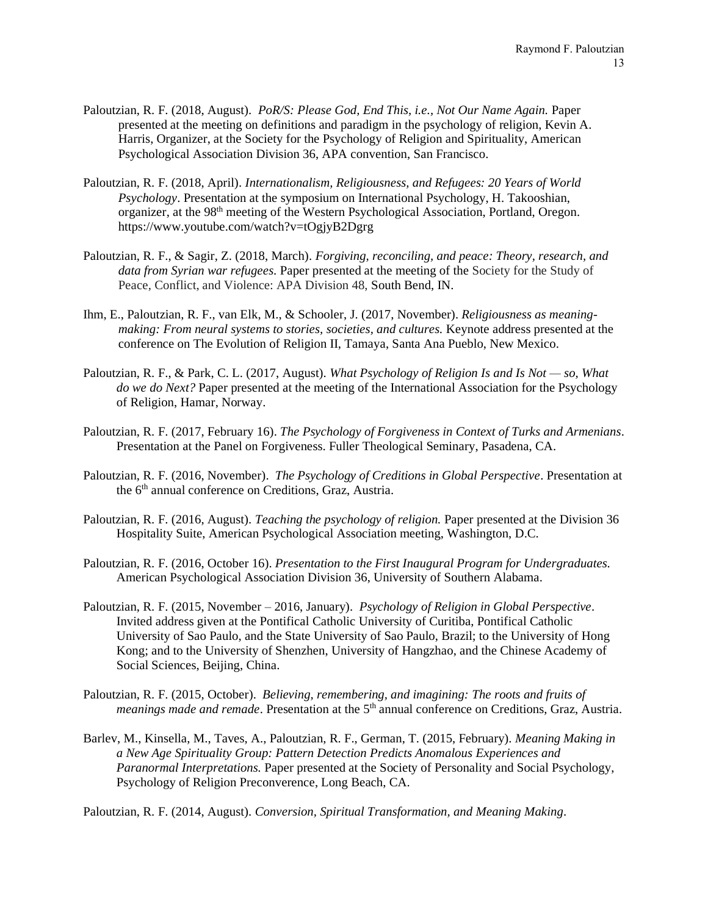- Paloutzian, R. F. (2018, August). *PoR/S: Please God, End This, i.e., Not Our Name Again.* Paper presented at the meeting on definitions and paradigm in the psychology of religion, Kevin A. Harris, Organizer, at the Society for the Psychology of Religion and Spirituality, American Psychological Association Division 36, APA convention, San Francisco.
- Paloutzian, R. F. (2018, April). *Internationalism, Religiousness, and Refugees: 20 Years of World Psychology*. Presentation at the symposium on International Psychology, H. Takooshian, organizer, at the 98<sup>th</sup> meeting of the Western Psychological Association, Portland, Oregon. <https://www.youtube.com/watch?v=tOgjyB2Dgrg>
- Paloutzian, R. F., & Sagir, Z. (2018, March). *Forgiving, reconciling, and peace: Theory, research, and data from Syrian war refugees.* Paper presented at the meeting of the Society for the Study of Peace, Conflict, and Violence: APA Division 48, South Bend, IN.
- Ihm, E., Paloutzian, R. F., van Elk, M., & Schooler, J. (2017, November). *Religiousness as meaningmaking: From neural systems to stories, societies, and cultures.* Keynote address presented at the conference on The Evolution of Religion II, Tamaya, Santa Ana Pueblo, New Mexico.
- Paloutzian, R. F., & Park, C. L. (2017, August). *What Psychology of Religion Is and Is Not — so, What do we do Next?* Paper presented at the meeting of the International Association for the Psychology of Religion, Hamar, Norway.
- Paloutzian, R. F. (2017, February 16). *The Psychology of Forgiveness in Context of Turks and Armenians*. Presentation at the Panel on Forgiveness. Fuller Theological Seminary, Pasadena, CA.
- Paloutzian, R. F. (2016, November). *The Psychology of Creditions in Global Perspective*. Presentation at the 6<sup>th</sup> annual conference on Creditions, Graz, Austria.
- Paloutzian, R. F. (2016, August). *Teaching the psychology of religion.* Paper presented at the Division 36 Hospitality Suite, American Psychological Association meeting, Washington, D.C.
- Paloutzian, R. F. (2016, October 16). *Presentation to the First Inaugural Program for Undergraduates.* American Psychological Association Division 36, University of Southern Alabama.
- Paloutzian, R. F. (2015, November 2016, January). *Psychology of Religion in Global Perspective*. Invited address given at the Pontifical Catholic University of Curitiba, Pontifical Catholic University of Sao Paulo, and the State University of Sao Paulo, Brazil; to the University of Hong Kong; and to the University of Shenzhen, University of Hangzhao, and the Chinese Academy of Social Sciences, Beijing, China.
- Paloutzian, R. F. (2015, October). *Believing, remembering, and imagining: The roots and fruits of meanings made and remade*. Presentation at the 5<sup>th</sup> annual conference on Creditions, Graz, Austria.
- Barlev, M., Kinsella, M., Taves, A., Paloutzian, R. F., German, T. (2015, February). *Meaning Making in a New Age Spirituality Group: Pattern Detection Predicts Anomalous Experiences and Paranormal Interpretations.* Paper presented at the Society of Personality and Social Psychology, Psychology of Religion Preconverence, Long Beach, CA.

Paloutzian, R. F. (2014, August). *Conversion, Spiritual Transformation, and Meaning Making*.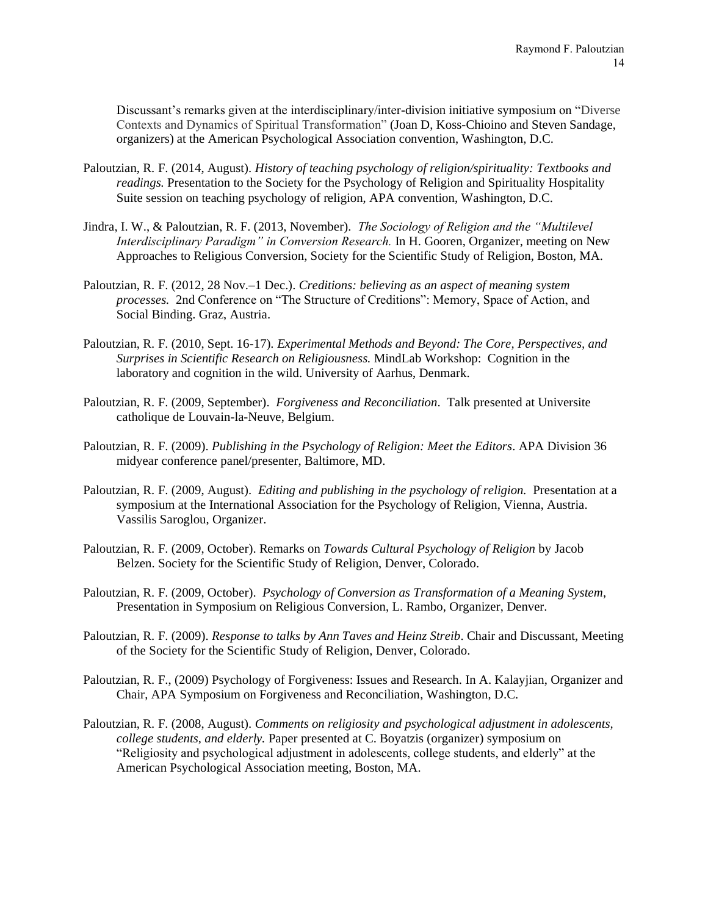Discussant's remarks given at the interdisciplinary/inter-division initiative symposium on "Diverse Contexts and Dynamics of Spiritual Transformation" (Joan D, Koss-Chioino and Steven Sandage, organizers) at the American Psychological Association convention, Washington, D.C.

- Paloutzian, R. F. (2014, August). *History of teaching psychology of religion/spirituality: Textbooks and readings.* Presentation to the Society for the Psychology of Religion and Spirituality Hospitality Suite session on teaching psychology of religion, APA convention, Washington, D.C.
- Jindra, I. W., & Paloutzian, R. F. (2013, November). *The Sociology of Religion and the "Multilevel Interdisciplinary Paradigm" in Conversion Research.* In H. Gooren, Organizer, meeting on New Approaches to Religious Conversion, Society for the Scientific Study of Religion, Boston, MA.
- Paloutzian, R. F. (2012, 28 Nov.–1 Dec.). *Creditions: believing as an aspect of meaning system processes.* 2nd Conference on "The Structure of Creditions": Memory, Space of Action, and Social Binding. Graz, Austria.
- Paloutzian, R. F. (2010, Sept. 16-17)*. Experimental Methods and Beyond: The Core, Perspectives, and Surprises in Scientific Research on Religiousness.* MindLab Workshop: Cognition in the laboratory and cognition in the wild. University of Aarhus, Denmark.
- Paloutzian, R. F. (2009, September). *Forgiveness and Reconciliation*. Talk presented at Universite catholique de Louvain-la-Neuve, Belgium.
- Paloutzian, R. F. (2009). *Publishing in the Psychology of Religion: Meet the Editors*. APA Division 36 midyear conference panel/presenter, Baltimore, MD.
- Paloutzian, R. F. (2009, August). *Editing and publishing in the psychology of religion.* Presentation at a symposium at the International Association for the Psychology of Religion, Vienna, Austria. Vassilis Saroglou, Organizer.
- Paloutzian, R. F. (2009, October). Remarks on *Towards Cultural Psychology of Religion* by Jacob Belzen. Society for the Scientific Study of Religion, Denver, Colorado.
- Paloutzian, R. F. (2009, October). *Psychology of Conversion as Transformation of a Meaning System*, Presentation in Symposium on Religious Conversion, L. Rambo, Organizer, Denver.
- Paloutzian, R. F. (2009). *Response to talks by Ann Taves and Heinz Streib*. Chair and Discussant, Meeting of the Society for the Scientific Study of Religion, Denver, Colorado.
- Paloutzian, R. F., (2009) Psychology of Forgiveness: Issues and Research. In A. Kalayjian, Organizer and Chair, APA Symposium on Forgiveness and Reconciliation, Washington, D.C.
- Paloutzian, R. F. (2008, August). *Comments on religiosity and psychological adjustment in adolescents, college students, and elderly.* Paper presented at C. Boyatzis (organizer) symposium on "Religiosity and psychological adjustment in adolescents, college students, and elderly" at the American Psychological Association meeting, Boston, MA.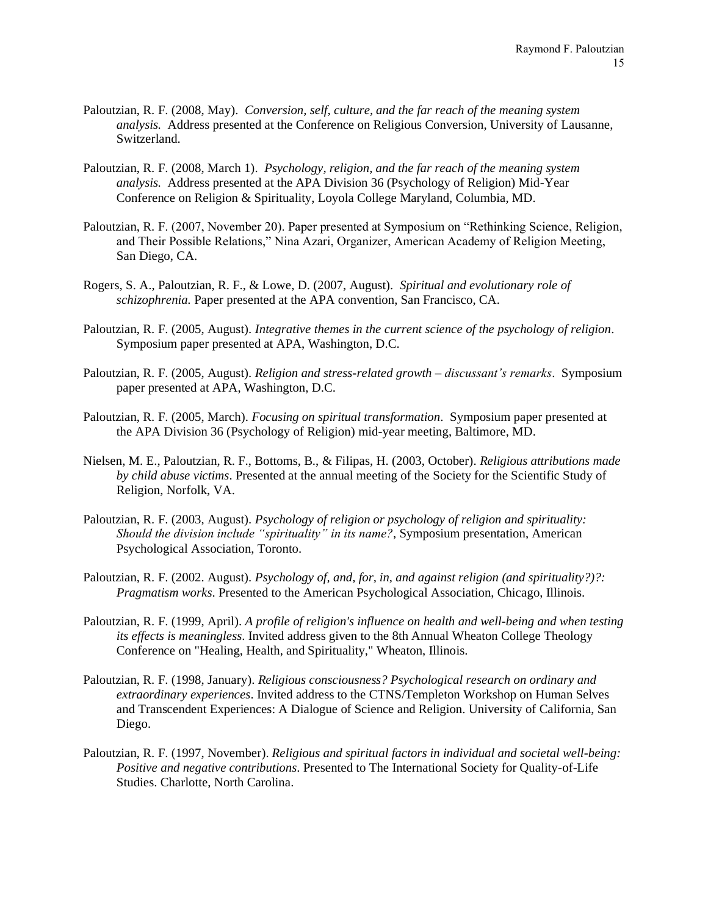- Paloutzian, R. F. (2008, May). *Conversion, self, culture, and the far reach of the meaning system analysis.* Address presented at the Conference on Religious Conversion, University of Lausanne, Switzerland.
- Paloutzian, R. F. (2008, March 1). *Psychology, religion, and the far reach of the meaning system analysis.* Address presented at the APA Division 36 (Psychology of Religion) Mid-Year Conference on Religion & Spirituality, Loyola College Maryland, Columbia, MD.
- Paloutzian, R. F. (2007, November 20). Paper presented at Symposium on "Rethinking Science, Religion, and Their Possible Relations," Nina Azari, Organizer, American Academy of Religion Meeting, San Diego, CA.
- Rogers, S. A., Paloutzian, R. F., & Lowe, D. (2007, August). *Spiritual and evolutionary role of schizophrenia.* Paper presented at the APA convention, San Francisco, CA.
- Paloutzian, R. F. (2005, August). *Integrative themes in the current science of the psychology of religion*. Symposium paper presented at APA, Washington, D.C.
- Paloutzian, R. F. (2005, August). *Religion and stress-related growth – discussant's remarks*. Symposium paper presented at APA, Washington, D.C.
- Paloutzian, R. F. (2005, March). *Focusing on spiritual transformation*. Symposium paper presented at the APA Division 36 (Psychology of Religion) mid-year meeting, Baltimore, MD.
- Nielsen, M. E., Paloutzian, R. F., Bottoms, B., & Filipas, H. (2003, October). *Religious attributions made by child abuse victims*. Presented at the annual meeting of the Society for the Scientific Study of Religion, Norfolk, VA.
- Paloutzian, R. F. (2003, August). *Psychology of religion or psychology of religion and spirituality: Should the division include "spirituality" in its name?*, Symposium presentation, American Psychological Association, Toronto.
- Paloutzian, R. F. (2002. August). *Psychology of, and, for, in, and against religion (and spirituality?)?: Pragmatism works*. Presented to the American Psychological Association, Chicago, Illinois.
- Paloutzian, R. F. (1999, April). *A profile of religion's influence on health and well-being and when testing its effects is meaningless*. Invited address given to the 8th Annual Wheaton College Theology Conference on "Healing, Health, and Spirituality," Wheaton, Illinois.
- Paloutzian, R. F. (1998, January). *Religious consciousness? Psychological research on ordinary and extraordinary experiences*. Invited address to the CTNS/Templeton Workshop on Human Selves and Transcendent Experiences: A Dialogue of Science and Religion. University of California, San Diego.
- Paloutzian, R. F. (1997, November). *Religious and spiritual factors in individual and societal well-being: Positive and negative contributions*. Presented to The International Society for Quality-of-Life Studies. Charlotte, North Carolina.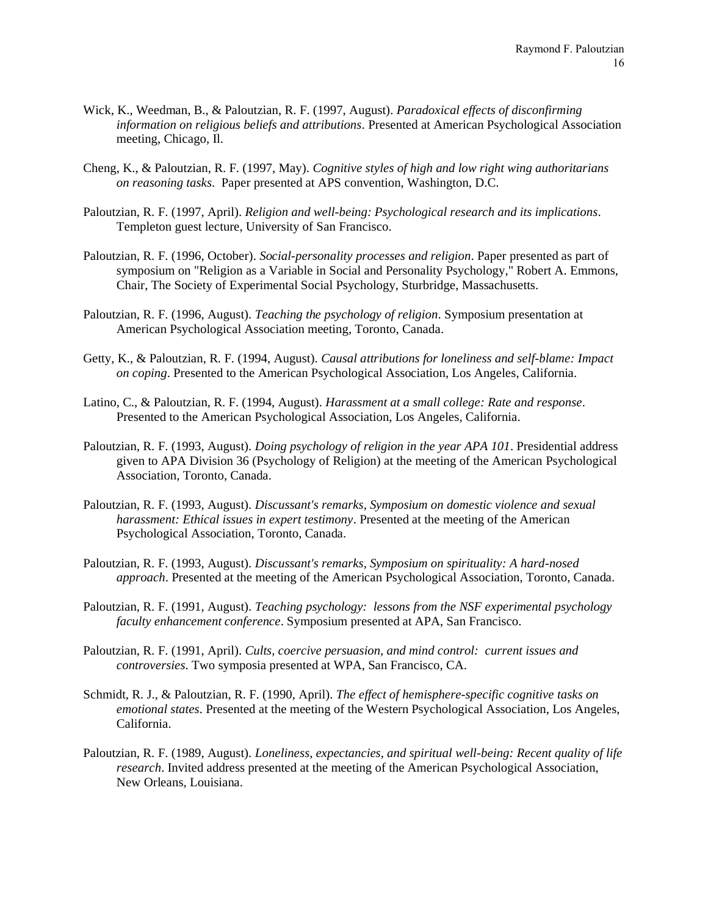- Wick, K., Weedman, B., & Paloutzian, R. F. (1997, August). *Paradoxical effects of disconfirming information on religious beliefs and attributions*. Presented at American Psychological Association meeting, Chicago, Il.
- Cheng, K., & Paloutzian, R. F. (1997, May). *Cognitive styles of high and low right wing authoritarians on reasoning tasks*. Paper presented at APS convention, Washington, D.C.
- Paloutzian, R. F. (1997, April). *Religion and well-being: Psychological research and its implications*. Templeton guest lecture, University of San Francisco.
- Paloutzian, R. F. (1996, October). *Social-personality processes and religion*. Paper presented as part of symposium on "Religion as a Variable in Social and Personality Psychology," Robert A. Emmons, Chair, The Society of Experimental Social Psychology, Sturbridge, Massachusetts.
- Paloutzian, R. F. (1996, August). *Teaching the psychology of religion*. Symposium presentation at American Psychological Association meeting, Toronto, Canada.
- Getty, K., & Paloutzian, R. F. (1994, August). *Causal attributions for loneliness and self-blame: Impact on coping*. Presented to the American Psychological Association, Los Angeles, California.
- Latino, C., & Paloutzian, R. F. (1994, August). *Harassment at a small college: Rate and response*. Presented to the American Psychological Association, Los Angeles, California.
- Paloutzian, R. F. (1993, August). *Doing psychology of religion in the year APA 101*. Presidential address given to APA Division 36 (Psychology of Religion) at the meeting of the American Psychological Association, Toronto, Canada.
- Paloutzian, R. F. (1993, August). *Discussant's remarks, Symposium on domestic violence and sexual harassment: Ethical issues in expert testimony*. Presented at the meeting of the American Psychological Association, Toronto, Canada.
- Paloutzian, R. F. (1993, August). *Discussant's remarks, Symposium on spirituality: A hard-nosed approach*. Presented at the meeting of the American Psychological Association, Toronto, Canada.
- Paloutzian, R. F. (1991, August). *Teaching psychology: lessons from the NSF experimental psychology faculty enhancement conference*. Symposium presented at APA, San Francisco.
- Paloutzian, R. F. (1991, April). *Cults, coercive persuasion, and mind control: current issues and controversies*. Two symposia presented at WPA, San Francisco, CA.
- Schmidt, R. J., & Paloutzian, R. F. (1990, April). *The effect of hemisphere-specific cognitive tasks on emotional states*. Presented at the meeting of the Western Psychological Association, Los Angeles, California.
- Paloutzian, R. F. (1989, August). *Loneliness, expectancies, and spiritual well-being: Recent quality of life research*. Invited address presented at the meeting of the American Psychological Association, New Orleans, Louisiana.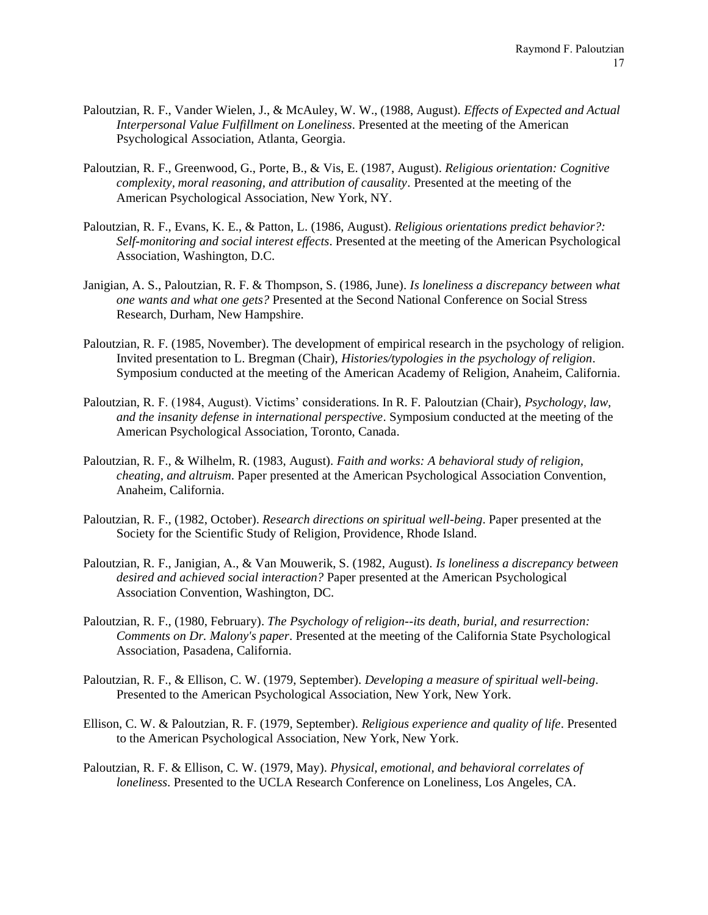- Paloutzian, R. F., Vander Wielen, J., & McAuley, W. W., (1988, August). *Effects of Expected and Actual Interpersonal Value Fulfillment on Loneliness*. Presented at the meeting of the American Psychological Association, Atlanta, Georgia.
- Paloutzian, R. F., Greenwood, G., Porte, B., & Vis, E. (1987, August). *Religious orientation: Cognitive complexity, moral reasoning, and attribution of causality*. Presented at the meeting of the American Psychological Association, New York, NY.
- Paloutzian, R. F., Evans, K. E., & Patton, L. (1986, August). *Religious orientations predict behavior?: Self-monitoring and social interest effects*. Presented at the meeting of the American Psychological Association, Washington, D.C.
- Janigian, A. S., Paloutzian, R. F. & Thompson, S. (1986, June). *Is loneliness a discrepancy between what one wants and what one gets?* Presented at the Second National Conference on Social Stress Research, Durham, New Hampshire.
- Paloutzian, R. F. (1985, November). The development of empirical research in the psychology of religion. Invited presentation to L. Bregman (Chair), *Histories/typologies in the psychology of religion*. Symposium conducted at the meeting of the American Academy of Religion, Anaheim, California.
- Paloutzian, R. F. (1984, August). Victims' considerations. In R. F. Paloutzian (Chair), *Psychology, law, and the insanity defense in international perspective*. Symposium conducted at the meeting of the American Psychological Association, Toronto, Canada.
- Paloutzian, R. F., & Wilhelm, R. (1983, August). *Faith and works: A behavioral study of religion, cheating, and altruism*. Paper presented at the American Psychological Association Convention, Anaheim, California.
- Paloutzian, R. F., (1982, October). *Research directions on spiritual well-being*. Paper presented at the Society for the Scientific Study of Religion, Providence, Rhode Island.
- Paloutzian, R. F., Janigian, A., & Van Mouwerik, S. (1982, August). *Is loneliness a discrepancy between desired and achieved social interaction?* Paper presented at the American Psychological Association Convention, Washington, DC.
- Paloutzian, R. F., (1980, February). *The Psychology of religion--its death, burial, and resurrection: Comments on Dr. Malony's paper*. Presented at the meeting of the California State Psychological Association, Pasadena, California.
- Paloutzian, R. F., & Ellison, C. W. (1979, September). *Developing a measure of spiritual well-being*. Presented to the American Psychological Association, New York, New York.
- Ellison, C. W. & Paloutzian, R. F. (1979, September). *Religious experience and quality of life*. Presented to the American Psychological Association, New York, New York.
- Paloutzian, R. F. & Ellison, C. W. (1979, May). *Physical, emotional, and behavioral correlates of loneliness*. Presented to the UCLA Research Conference on Loneliness, Los Angeles, CA.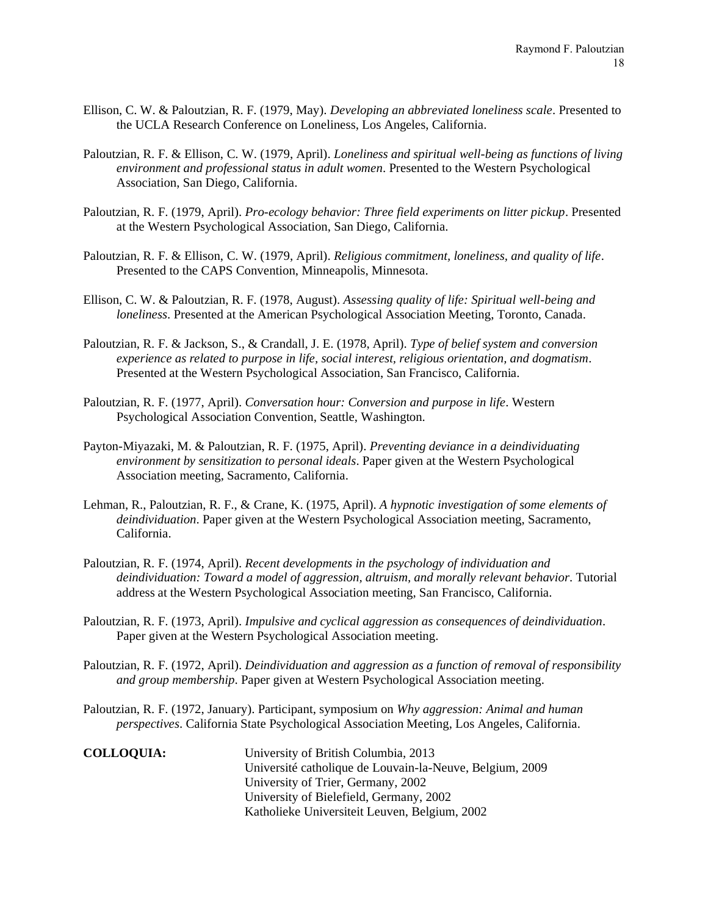- Ellison, C. W. & Paloutzian, R. F. (1979, May). *Developing an abbreviated loneliness scale*. Presented to the UCLA Research Conference on Loneliness, Los Angeles, California.
- Paloutzian, R. F. & Ellison, C. W. (1979, April). *Loneliness and spiritual well-being as functions of living environment and professional status in adult women*. Presented to the Western Psychological Association, San Diego, California.
- Paloutzian, R. F. (1979, April). *Pro-ecology behavior: Three field experiments on litter pickup*. Presented at the Western Psychological Association, San Diego, California.
- Paloutzian, R. F. & Ellison, C. W. (1979, April). *Religious commitment, loneliness, and quality of life*. Presented to the CAPS Convention, Minneapolis, Minnesota.
- Ellison, C. W. & Paloutzian, R. F. (1978, August). *Assessing quality of life: Spiritual well-being and loneliness*. Presented at the American Psychological Association Meeting, Toronto, Canada.
- Paloutzian, R. F. & Jackson, S., & Crandall, J. E. (1978, April). *Type of belief system and conversion experience as related to purpose in life, social interest, religious orientation, and dogmatism*. Presented at the Western Psychological Association, San Francisco, California.
- Paloutzian, R. F. (1977, April). *Conversation hour: Conversion and purpose in life*. Western Psychological Association Convention, Seattle, Washington.
- Payton-Miyazaki, M. & Paloutzian, R. F. (1975, April). *Preventing deviance in a deindividuating environment by sensitization to personal ideals*. Paper given at the Western Psychological Association meeting, Sacramento, California.
- Lehman, R., Paloutzian, R. F., & Crane, K. (1975, April). *A hypnotic investigation of some elements of deindividuation*. Paper given at the Western Psychological Association meeting, Sacramento, California.
- Paloutzian, R. F. (1974, April). *Recent developments in the psychology of individuation and deindividuation: Toward a model of aggression, altruism, and morally relevant behavior*. Tutorial address at the Western Psychological Association meeting, San Francisco, California.
- Paloutzian, R. F. (1973, April). *Impulsive and cyclical aggression as consequences of deindividuation*. Paper given at the Western Psychological Association meeting.
- Paloutzian, R. F. (1972, April). *Deindividuation and aggression as a function of removal of responsibility and group membership*. Paper given at Western Psychological Association meeting.
- Paloutzian, R. F. (1972, January). Participant, symposium on *Why aggression: Animal and human perspectives*. California State Psychological Association Meeting, Los Angeles, California.

**COLLOQUIA:** University of British Columbia, 2013 Université catholique de Louvain-la-Neuve, Belgium, 2009 University of Trier, Germany, 2002 University of Bielefield, Germany, 2002 Katholieke Universiteit Leuven, Belgium, 2002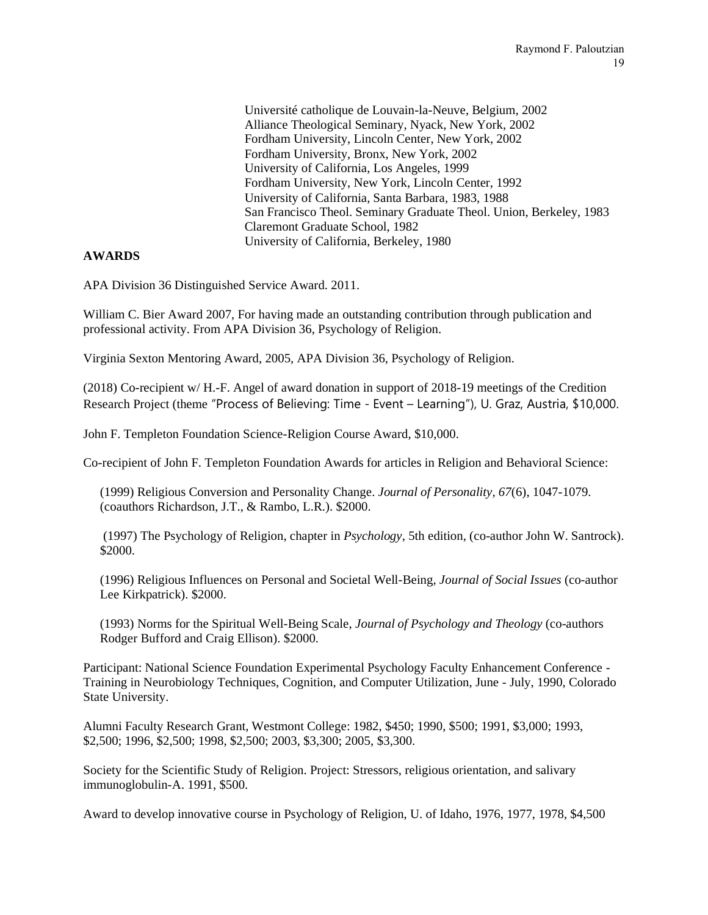Université catholique de Louvain-la-Neuve, Belgium, 2002 Alliance Theological Seminary, Nyack, New York, 2002 Fordham University, Lincoln Center, New York, 2002 Fordham University, Bronx, New York, 2002 University of California, Los Angeles, 1999 Fordham University, New York, Lincoln Center, 1992 University of California, Santa Barbara, 1983, 1988 San Francisco Theol. Seminary Graduate Theol. Union, Berkeley, 1983 Claremont Graduate School, 1982 University of California, Berkeley, 1980

# **AWARDS**

APA Division 36 Distinguished Service Award. 2011.

William C. Bier Award 2007, For having made an outstanding contribution through publication and professional activity. From APA Division 36, Psychology of Religion.

Virginia Sexton Mentoring Award, 2005, APA Division 36, Psychology of Religion.

(2018) Co-recipient w/ H.-F. Angel of award donation in support of 2018-19 meetings of the Credition Research Project (theme "Process of Believing: Time - Event – Learning"), U. Graz, Austria, \$10,000.

John F. Templeton Foundation Science-Religion Course Award, \$10,000.

Co-recipient of John F. Templeton Foundation Awards for articles in Religion and Behavioral Science:

(1999) Religious Conversion and Personality Change. *Journal of Personality, 67*(6), 1047-1079. (coauthors Richardson, J.T., & Rambo, L.R.). \$2000.

(1997) The Psychology of Religion, chapter in *Psychology*, 5th edition, (co-author John W. Santrock). \$2000.

(1996) Religious Influences on Personal and Societal Well-Being, *Journal of Social Issues* (co-author Lee Kirkpatrick). \$2000.

(1993) Norms for the Spiritual Well-Being Scale, *Journal of Psychology and Theology* (co-authors Rodger Bufford and Craig Ellison). \$2000.

Participant: National Science Foundation Experimental Psychology Faculty Enhancement Conference - Training in Neurobiology Techniques, Cognition, and Computer Utilization, June - July, 1990, Colorado State University.

Alumni Faculty Research Grant, Westmont College: 1982, \$450; 1990, \$500; 1991, \$3,000; 1993, \$2,500; 1996, \$2,500; 1998, \$2,500; 2003, \$3,300; 2005, \$3,300.

Society for the Scientific Study of Religion. Project: Stressors, religious orientation, and salivary immunoglobulin-A. 1991, \$500.

Award to develop innovative course in Psychology of Religion, U. of Idaho, 1976, 1977, 1978, \$4,500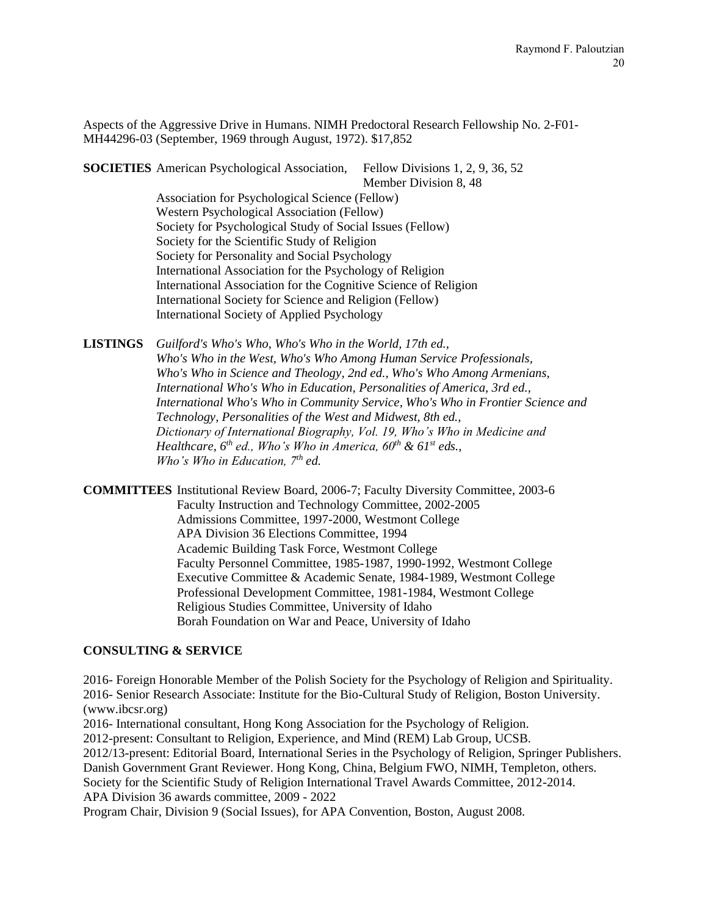Aspects of the Aggressive Drive in Humans. NIMH Predoctoral Research Fellowship No. 2-F01- MH44296-03 (September, 1969 through August, 1972). \$17,852

**SOCIETIES** American Psychological Association, Fellow Divisions 1, 2, 9, 36, 52

Member Division 8, 48

Association for Psychological Science (Fellow) Western Psychological Association (Fellow) Society for Psychological Study of Social Issues (Fellow) Society for the Scientific Study of Religion Society for Personality and Social Psychology International Association for the Psychology of Religion International Association for the Cognitive Science of Religion International Society for Science and Religion (Fellow) International Society of Applied Psychology

**LISTINGS** *Guilford's Who's Who, Who's Who in the World, 17th ed., Who's Who in the West, Who's Who Among Human Service Professionals, Who's Who in Science and Theology, 2nd ed., Who's Who Among Armenians, International Who's Who in Education, Personalities of America, 3rd ed., International Who's Who in Community Service, Who's Who in Frontier Science and Technology, Personalities of the West and Midwest, 8th ed., Dictionary of International Biography, Vol. 19, Who's Who in Medicine and Healthcare, 6th ed., Who's Who in America, 60th & 61st eds., Who's Who in Education, 7th ed.*

**COMMITTEES** Institutional Review Board, 2006-7; Faculty Diversity Committee, 2003-6 Faculty Instruction and Technology Committee, 2002-2005 Admissions Committee, 1997-2000, Westmont College APA Division 36 Elections Committee, 1994 Academic Building Task Force, Westmont College Faculty Personnel Committee, 1985-1987, 1990-1992, Westmont College Executive Committee & Academic Senate, 1984-1989, Westmont College Professional Development Committee, 1981-1984, Westmont College Religious Studies Committee, University of Idaho Borah Foundation on War and Peace, University of Idaho

# **CONSULTING & SERVICE**

2016- Foreign Honorable Member of the Polish Society for the Psychology of Religion and Spirituality. 2016- Senior Research Associate: Institute for the Bio-Cultural Study of Religion, Boston University. [\(www.ibcsr.org\)](http://www.ibcsr.org/) 2016- International consultant, Hong Kong Association for the Psychology of Religion. 2012-present: Consultant to Religion, Experience, and Mind (REM) Lab Group, UCSB. 2012/13-present: Editorial Board, International Series in the Psychology of Religion, Springer Publishers. Danish Government Grant Reviewer. Hong Kong, China, Belgium FWO, NIMH, Templeton, others. Society for the Scientific Study of Religion International Travel Awards Committee, 2012-2014. APA Division 36 awards committee, 2009 - 2022

Program Chair, Division 9 (Social Issues), for APA Convention, Boston, August 2008.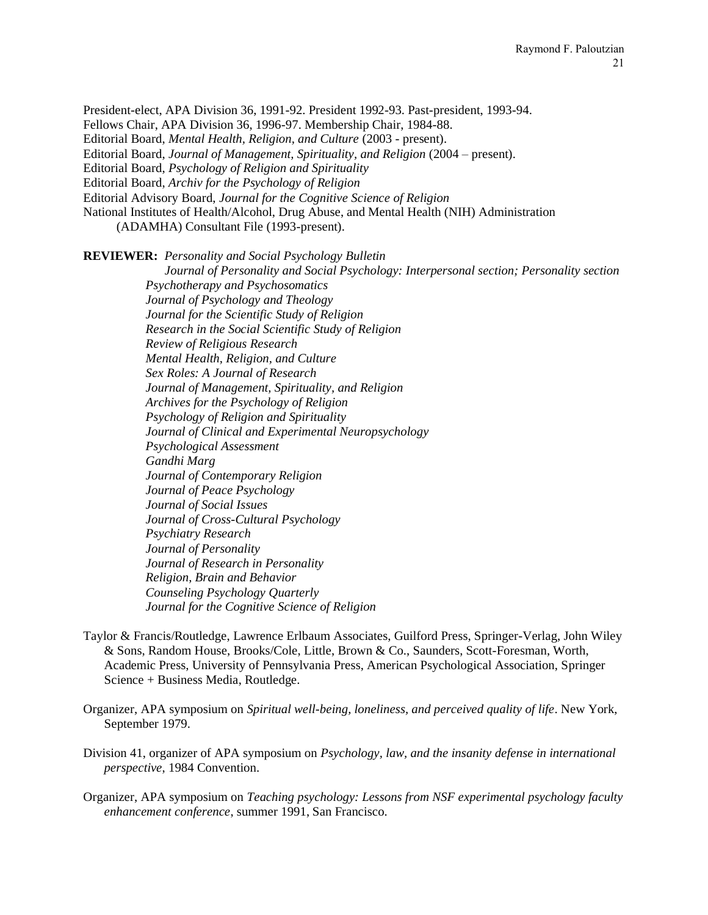President-elect, APA Division 36, 1991-92. President 1992-93. Past-president, 1993-94.

Fellows Chair, APA Division 36, 1996-97. Membership Chair, 1984-88.

Editorial Board, *Mental Health, Religion, and Culture* (2003 - present).

Editorial Board, *Journal of Management, Spirituality, and Religion* (2004 – present).

Editorial Board, *Psychology of Religion and Spirituality*

Editorial Board, *Archiv for the Psychology of Religion*

Editorial Advisory Board, *Journal for the Cognitive Science of Religion*

National Institutes of Health/Alcohol, Drug Abuse, and Mental Health (NIH) Administration

(ADAMHA) Consultant File (1993-present).

**REVIEWER:** *Personality and Social Psychology Bulletin*

 *Journal of Personality and Social Psychology: Interpersonal section; Personality section Psychotherapy and Psychosomatics Journal of Psychology and Theology Journal for the Scientific Study of Religion Research in the Social Scientific Study of Religion Review of Religious Research Mental Health, Religion, and Culture Sex Roles: A Journal of Research Journal of Management, Spirituality, and Religion Archives for the Psychology of Religion Psychology of Religion and Spirituality Journal of Clinical and Experimental Neuropsychology Psychological Assessment Gandhi Marg Journal of Contemporary Religion Journal of Peace Psychology Journal of Social Issues Journal of Cross-Cultural Psychology Psychiatry Research Journal of Personality Journal of Research in Personality Religion, Brain and Behavior Counseling Psychology Quarterly Journal for the Cognitive Science of Religion*

- Taylor & Francis/Routledge, Lawrence Erlbaum Associates, Guilford Press, Springer-Verlag, John Wiley & Sons, Random House, Brooks/Cole, Little, Brown & Co., Saunders, Scott-Foresman, Worth, Academic Press, University of Pennsylvania Press, American Psychological Association, Springer Science + Business Media, Routledge.
- Organizer, APA symposium on *Spiritual well-being, loneliness, and perceived quality of life*. New York, September 1979.
- Division 41, organizer of APA symposium on *Psychology, law, and the insanity defense in international perspective*, 1984 Convention.
- Organizer, APA symposium on *Teaching psychology: Lessons from NSF experimental psychology faculty enhancement conference*, summer 1991, San Francisco.